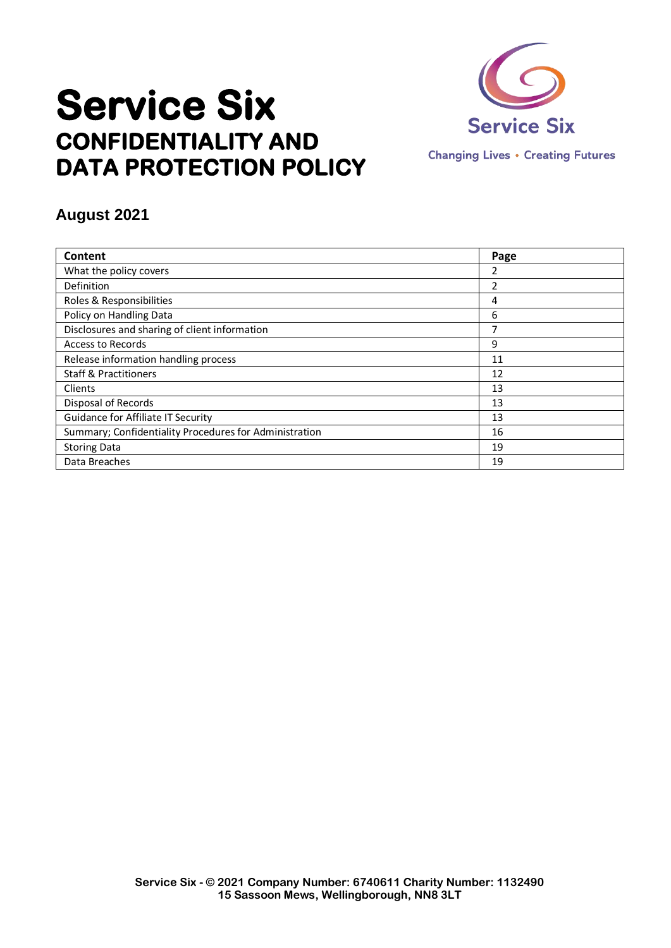

# **Service Six CONFIDENTIALITY AND DATA PROTECTION POLICY**

## **August 2021**

| Content                                                | Page |
|--------------------------------------------------------|------|
| What the policy covers                                 | 2    |
| Definition                                             | 2    |
| Roles & Responsibilities                               | 4    |
| Policy on Handling Data                                | 6    |
| Disclosures and sharing of client information          | 7    |
| <b>Access to Records</b>                               | 9    |
| Release information handling process                   | 11   |
| <b>Staff &amp; Practitioners</b>                       | 12   |
| Clients                                                | 13   |
| Disposal of Records                                    | 13   |
| Guidance for Affiliate IT Security                     | 13   |
| Summary; Confidentiality Procedures for Administration | 16   |
| <b>Storing Data</b>                                    | 19   |
| Data Breaches                                          | 19   |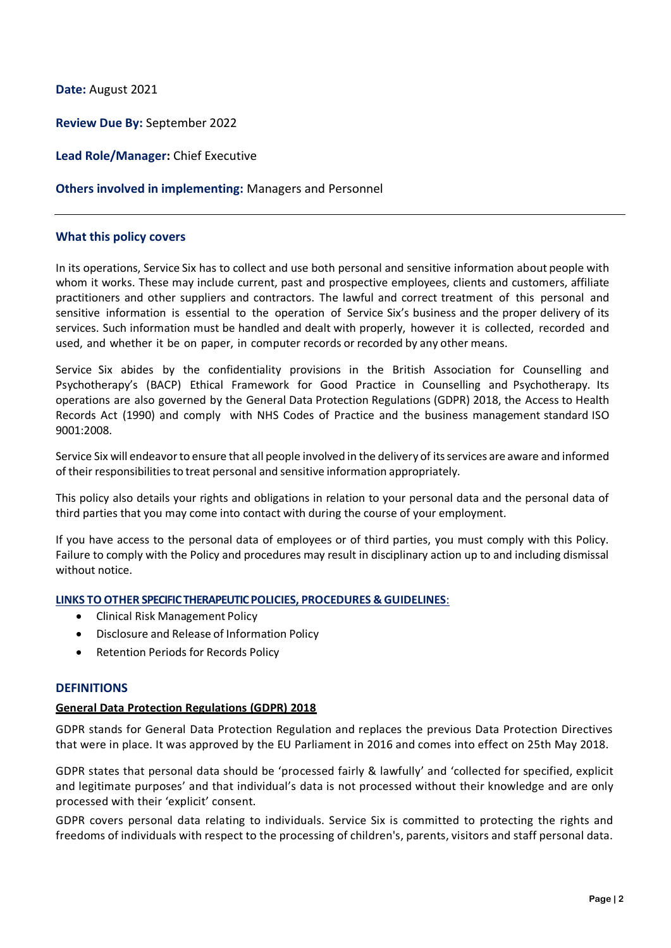**Date:** August 2021

**Review Due By:** September 2022

**Lead Role/Manager:** Chief Executive

## **Others involved in implementing:** Managers and Personnel

## **What this policy covers**

In its operations, Service Six has to collect and use both personal and sensitive information about people with whom it works. These may include current, past and prospective employees, clients and customers, affiliate practitioners and other suppliers and contractors. The lawful and correct treatment of this personal and sensitive information is essential to the operation of Service Six's business and the proper delivery of its services. Such information must be handled and dealt with properly, however it is collected, recorded and used, and whether it be on paper, in computer records or recorded by any other means.

Service Six abides by the confidentiality provisions in the British Association for Counselling and Psychotherapy's (BACP) Ethical Framework for Good Practice in Counselling and Psychotherapy. Its operations are also governed by the General Data Protection Regulations (GDPR) 2018, the Access to Health Records Act (1990) and comply with NHS Codes of Practice and the business management standard ISO 9001:2008.

Service Six will endeavorto ensure that all people involved in the delivery of itsservices are aware and informed of their responsibilitiesto treat personal and sensitive information appropriately.

This policy also details your rights and obligations in relation to your personal data and the personal data of third parties that you may come into contact with during the course of your employment.

If you have access to the personal data of employees or of third parties, you must comply with this Policy. Failure to comply with the Policy and procedures may result in disciplinary action up to and including dismissal without notice.

#### **LINKS TO OTHER SPECIFIC THERAPEUTIC POLICIES, PROCEDURES & GUIDELINES**:

- Clinical Risk Management Policy
- Disclosure and Release of Information Policy
- Retention Periods for Records Policy

## **DEFINITIONS**

## **General Data Protection Regulations (GDPR) 2018**

GDPR stands for General Data Protection Regulation and replaces the previous Data Protection Directives that were in place. It was approved by the EU Parliament in 2016 and comes into effect on 25th May 2018.

GDPR states that personal data should be 'processed fairly & lawfully' and 'collected for specified, explicit and legitimate purposes' and that individual's data is not processed without their knowledge and are only processed with their 'explicit' consent.

GDPR covers personal data relating to individuals. Service Six is committed to protecting the rights and freedoms of individuals with respect to the processing of children's, parents, visitors and staff personal data.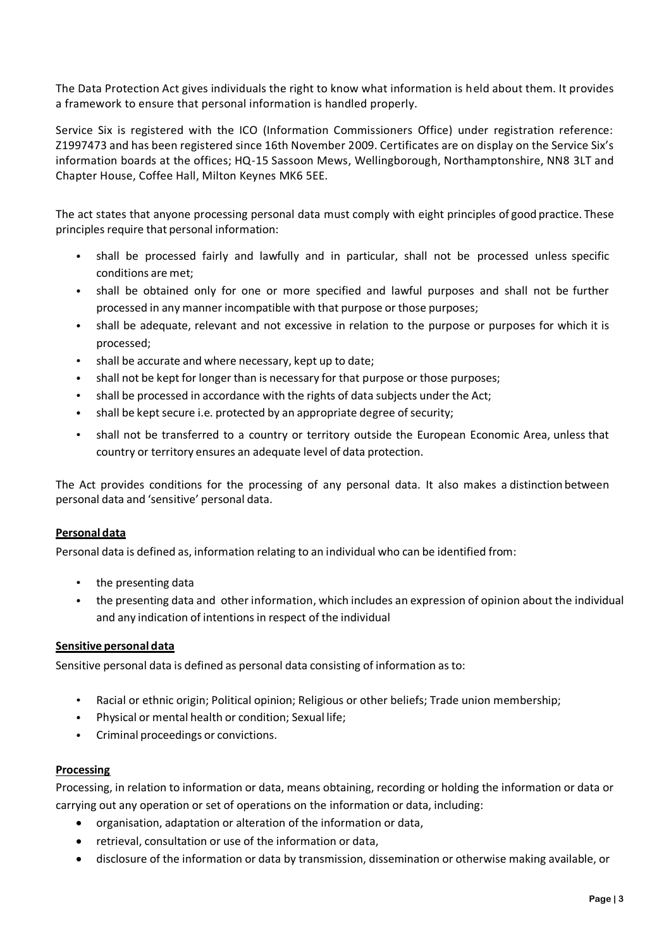The Data Protection Act gives individuals the right to know what information is held about them. It provides a framework to ensure that personal information is handled properly.

Service Six is registered with the ICO (Information Commissioners Office) under registration reference: Z1997473 and has been registered since 16th November 2009. Certificates are on display on the Service Six's information boards at the offices; HQ-15 Sassoon Mews, Wellingborough, Northamptonshire, NN8 3LT and Chapter House, Coffee Hall, Milton Keynes MK6 5EE.

The act states that anyone processing personal data must comply with eight principles of good practice. These principles require that personal information:

- $\bullet$ shall be processed fairly and lawfully and in particular, shall not be processed unless specific conditions are met;
- shall be obtained only for one or more specified and lawful purposes and shall not be further processed in any manner incompatible with that purpose or those purposes;
- shall be adequate, relevant and not excessive in relation to the purpose or purposes for which it is processed;
- shall be accurate and where necessary, kept up to date;
- shall not be kept for longer than is necessary for that purpose or those purposes;
- shall be processed in accordance with the rights of data subjects under the Act;
- shall be kept secure i.e. protected by an appropriate degree of security;
- shall not be transferred to a country or territory outside the European Economic Area, unless that country or territory ensures an adequate level of data protection.

The Act provides conditions for the processing of any personal data. It also makes a distinction between personal data and 'sensitive' personal data.

## **Personal data**

Personal data is defined as, information relating to an individual who can be identified from:

- the presenting data  $\bullet$
- the presenting data and other information, which includes an expression of opinion about the individual  $\bullet$ and any indication of intentions in respect of the individual

## **Sensitive personal data**

Sensitive personal data is defined as personal data consisting of information as to:

- Racial or ethnic origin; Political opinion; Religious or other beliefs; Trade union membership;
- Physical or mental health or condition; Sexual life;
- Criminal proceedings or convictions.  $\bullet$

## **Processing**

Processing, in relation to information or data, means obtaining, recording or holding the information or data or carrying out any operation or set of operations on the information or data, including:

- organisation, adaptation or alteration of the information or data,
- retrieval, consultation or use of the information or data,
- disclosure of the information or data by transmission, dissemination or otherwise making available, or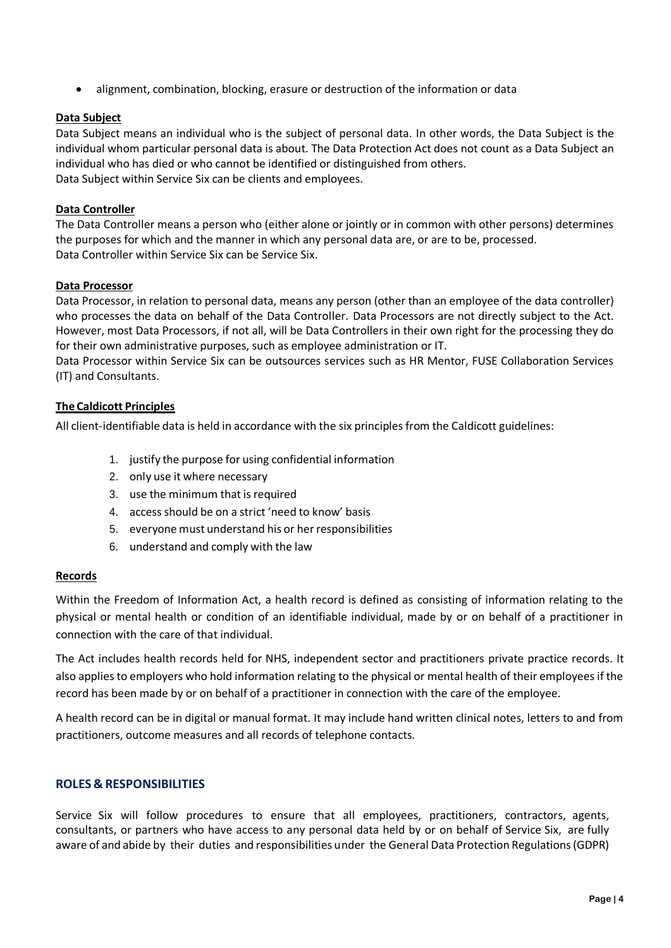alignment, combination, blocking, erasure or destruction of the information or data

## **Data Subject**

Data Subject means an individual who is the subject of personal data. In other words, the Data Subject is the individual whom particular personal data is about. The Data Protection Act does not count as a Data Subject an individual who has died or who cannot be identified or distinguished from others. Data Subject within Service Six can be clients and employees.

## **Data Controller**

The Data Controller means a person who (either alone or jointly or in common with other persons) determines the purposes for which and the manner in which any personal data are, or are to be, processed. Data Controller within Service Six can be Service Six.

## **Data Processor**

Data Processor, in relation to personal data, means any person (other than an employee of the data controller) who processes the data on behalf of the Data Controller. Data Processors are not directly subject to the Act. However, most Data Processors, if not all, will be Data Controllers in their own right for the processing they do for their own administrative purposes, such as employee administration or IT.

Data Processor within Service Six can be outsources services such as HR Mentor, FUSE Collaboration Services (IT) and Consultants.

## **The Caldicott Principles**

All client-identifiable data is held in accordance with the six principles from the Caldicott guidelines:

- 1. justify the purpose for using confidential information
- 2. only use it where necessary
- 3. use the minimum that is required
- 4. access should be on a strict 'need to know' basis
- 5. everyone must understand his or her responsibilities
- 6. understand and comply with the law

## **Records**

Within the Freedom of Information Act, a health record is defined as consisting of information relating to the physical or mental health or condition of an identifiable individual, made by or on behalf of a practitioner in connection with the care of that individual.

The Act includes health records held for NHS, independent sector and practitioners private practice records. It also applies to employers who hold information relating to the physical or mental health of their employees if the record has been made by or on behalf of a practitioner in connection with the care of the employee.

A health record can be in digital or manual format. It may include hand written clinical notes, letters to and from practitioners, outcome measures and all records of telephone contacts.

## **ROLES & RESPONSIBILITIES**

Service Six will follow procedures to ensure that all employees, practitioners, contractors, agents, consultants, or partners who have access to any personal data held by or on behalf of Service Six, are fully aware of and abide by their duties and responsibilities under the General Data Protection Regulations (GDPR)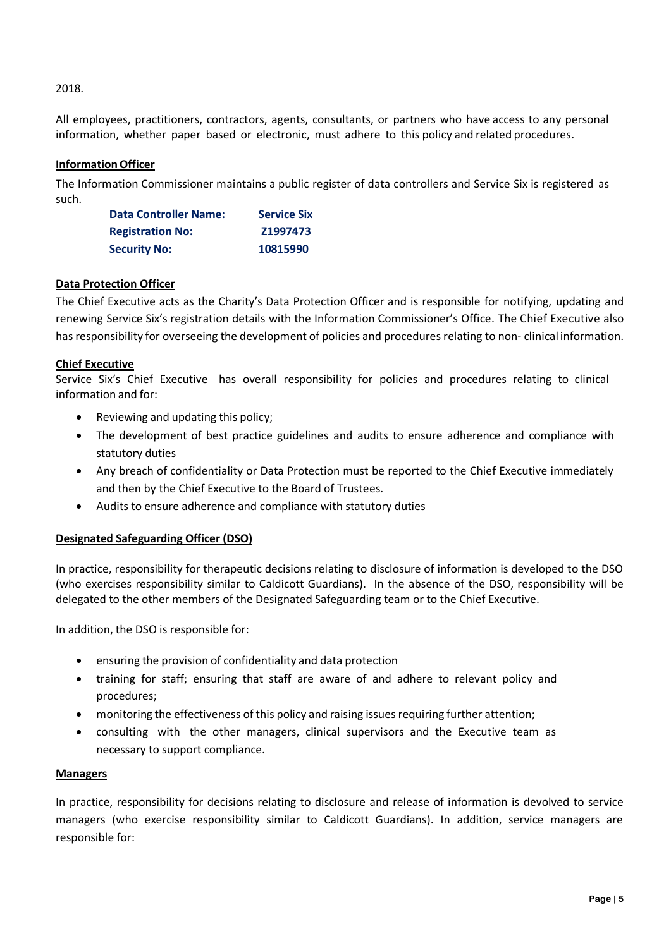## 2018.

All employees, practitioners, contractors, agents, consultants, or partners who have access to any personal information, whether paper based or electronic, must adhere to this policy and related procedures.

## **Information Officer**

The Information Commissioner maintains a public register of data controllers and Service Six is registered as such.

| <b>Data Controller Name:</b> | <b>Service Six</b> |
|------------------------------|--------------------|
| <b>Registration No:</b>      | Z1997473           |
| <b>Security No:</b>          | 10815990           |

## **Data Protection Officer**

The Chief Executive acts as the Charity's Data Protection Officer and is responsible for notifying, updating and renewing Service Six's registration details with the Information Commissioner's Office. The Chief Executive also has responsibility for overseeing the development of policies and procedures relating to non- clinical information.

## **Chief Executive**

Service Six's Chief Executive has overall responsibility for policies and procedures relating to clinical information and for:

- Reviewing and updating this policy;
- The development of best practice guidelines and audits to ensure adherence and compliance with statutory duties
- Any breach of confidentiality or Data Protection must be reported to the Chief Executive immediately and then by the Chief Executive to the Board of Trustees.
- Audits to ensure adherence and compliance with statutory duties

## **Designated Safeguarding Officer (DSO)**

In practice, responsibility for therapeutic decisions relating to disclosure of information is developed to the DSO (who exercises responsibility similar to Caldicott Guardians). In the absence of the DSO, responsibility will be delegated to the other members of the Designated Safeguarding team or to the Chief Executive.

In addition, the DSO is responsible for:

- ensuring the provision of confidentiality and data protection
- training for staff; ensuring that staff are aware of and adhere to relevant policy and procedures;
- monitoring the effectiveness of this policy and raising issues requiring further attention;
- consulting with the other managers, clinical supervisors and the Executive team as necessary to support compliance.

## **Managers**

In practice, responsibility for decisions relating to disclosure and release of information is devolved to service managers (who exercise responsibility similar to Caldicott Guardians). In addition, service managers are responsible for: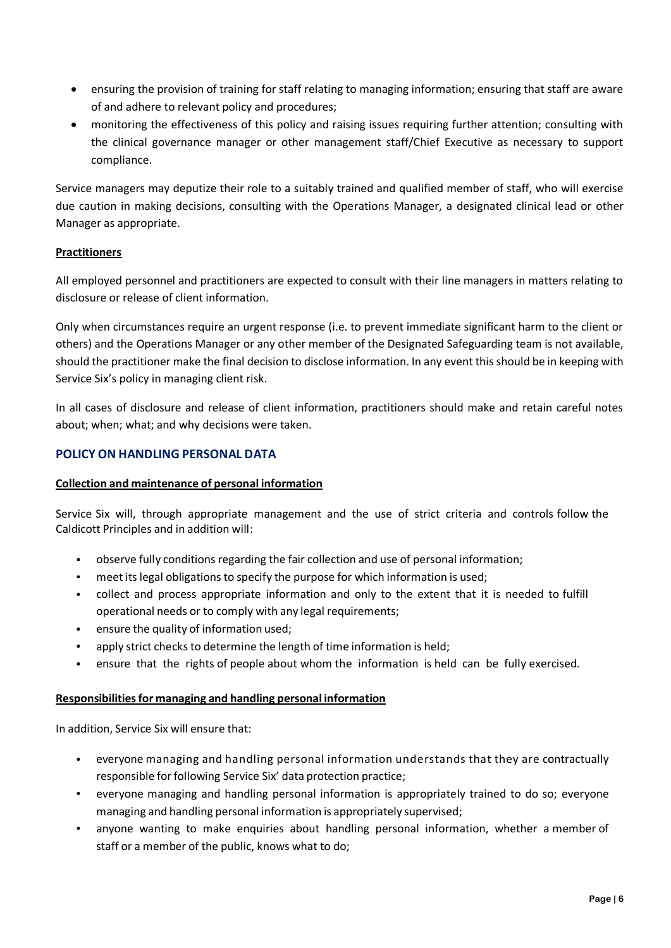- ensuring the provision of training for staff relating to managing information; ensuring that staff are aware of and adhere to relevant policy and procedures;
- monitoring the effectiveness of this policy and raising issues requiring further attention; consulting with the clinical governance manager or other management staff/Chief Executive as necessary to support compliance.

Service managers may deputize their role to a suitably trained and qualified member of staff, who will exercise due caution in making decisions, consulting with the Operations Manager, a designated clinical lead or other Manager as appropriate.

## **Practitioners**

All employed personnel and practitioners are expected to consult with their line managers in matters relating to disclosure or release of client information.

Only when circumstances require an urgent response (i.e. to prevent immediate significant harm to the client or others) and the Operations Manager or any other member of the Designated Safeguarding team is not available, should the practitioner make the final decision to disclose information. In any event this should be in keeping with Service Six's policy in managing client risk.

In all cases of disclosure and release of client information, practitioners should make and retain careful notes about; when; what; and why decisions were taken.

## **POLICY ON HANDLING PERSONAL DATA**

## **Collection and maintenance of personal information**

Service Six will, through appropriate management and the use of strict criteria and controls follow the Caldicott Principles and in addition will:

- observe fully conditions regarding the fair collection and use of personal information;
- meet its legal obligations to specify the purpose for which information is used;  $\bullet$
- collect and process appropriate information and only to the extent that it is needed to fulfill operational needs or to comply with any legal requirements;
- ensure the quality of information used;
- apply strict checks to determine the length of time information is held;
- ensure that the rights of people about whom the information is held can be fully exercised.

## **Responsibilitiesfor managing and handling personal information**

In addition, Service Six will ensure that:

- everyone managing and handling personal information understands that they are contractually responsible for following Service Six' data protection practice;
- everyone managing and handling personal information is appropriately trained to do so; everyone managing and handling personal information is appropriately supervised;
- $\bullet$  . anyone wanting to make enquiries about handling personal information, whether a member of staff or a member of the public, knows what to do;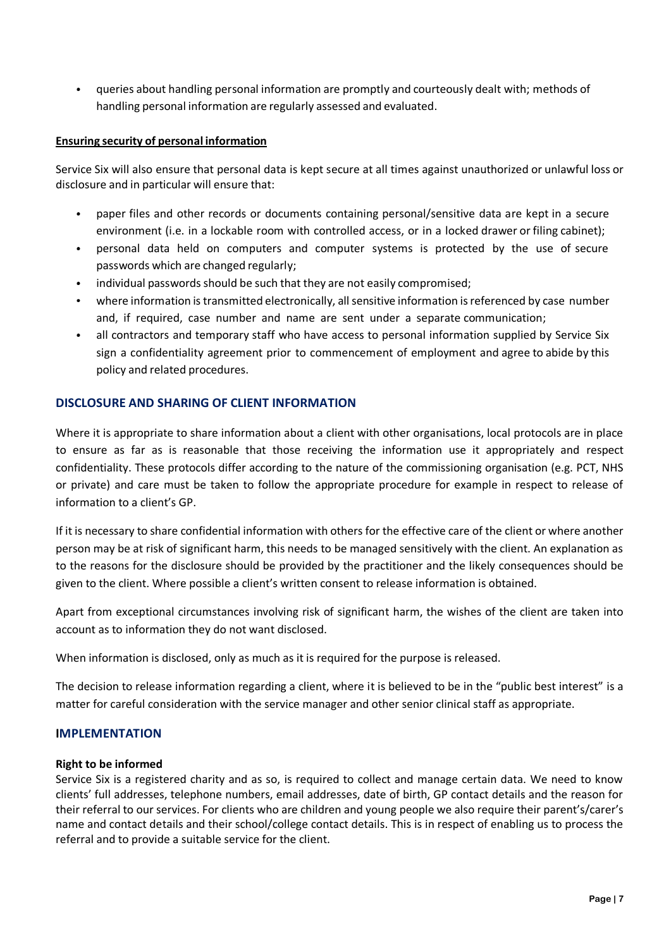queries about handling personal information are promptly and courteously dealt with; methods of  $\bullet$ handling personal information are regularly assessed and evaluated.

## **Ensuring security of personal information**

Service Six will also ensure that personal data is kept secure at all times against unauthorized or unlawful loss or disclosure and in particular will ensure that:

- paper files and other records or documents containing personal/sensitive data are kept in a secure environment (i.e. in a lockable room with controlled access, or in a locked drawer or filing cabinet);
- personal data held on computers and computer systems is protected by the use of secure passwords which are changed regularly;
- individual passwords should be such that they are not easily compromised;
- where information is transmitted electronically, all sensitive information is referenced by case number and, if required, case number and name are sent under a separate communication;
- all contractors and temporary staff who have access to personal information supplied by Service Six sign a confidentiality agreement prior to commencement of employment and agree to abide by this policy and related procedures.

## **DISCLOSURE AND SHARING OF CLIENT INFORMATION**

Where it is appropriate to share information about a client with other organisations, local protocols are in place to ensure as far as is reasonable that those receiving the information use it appropriately and respect confidentiality. These protocols differ according to the nature of the commissioning organisation (e.g. PCT, NHS or private) and care must be taken to follow the appropriate procedure for example in respect to release of information to a client's GP.

If it is necessary to share confidential information with others for the effective care of the client or where another person may be at risk of significant harm, this needs to be managed sensitively with the client. An explanation as to the reasons for the disclosure should be provided by the practitioner and the likely consequences should be given to the client. Where possible a client's written consent to release information is obtained.

Apart from exceptional circumstances involving risk of significant harm, the wishes of the client are taken into account as to information they do not want disclosed.

When information is disclosed, only as much as it is required for the purpose is released.

The decision to release information regarding a client, where it is believed to be in the "public best interest" is a matter for careful consideration with the service manager and other senior clinical staff as appropriate.

## **IMPLEMENTATION**

## **Right to be informed**

Service Six is a registered charity and as so, is required to collect and manage certain data. We need to know clients' full addresses, telephone numbers, email addresses, date of birth, GP contact details and the reason for their referral to our services. For clients who are children and young people we also require their parent's/carer's name and contact details and their school/college contact details. This is in respect of enabling us to process the referral and to provide a suitable service for the client.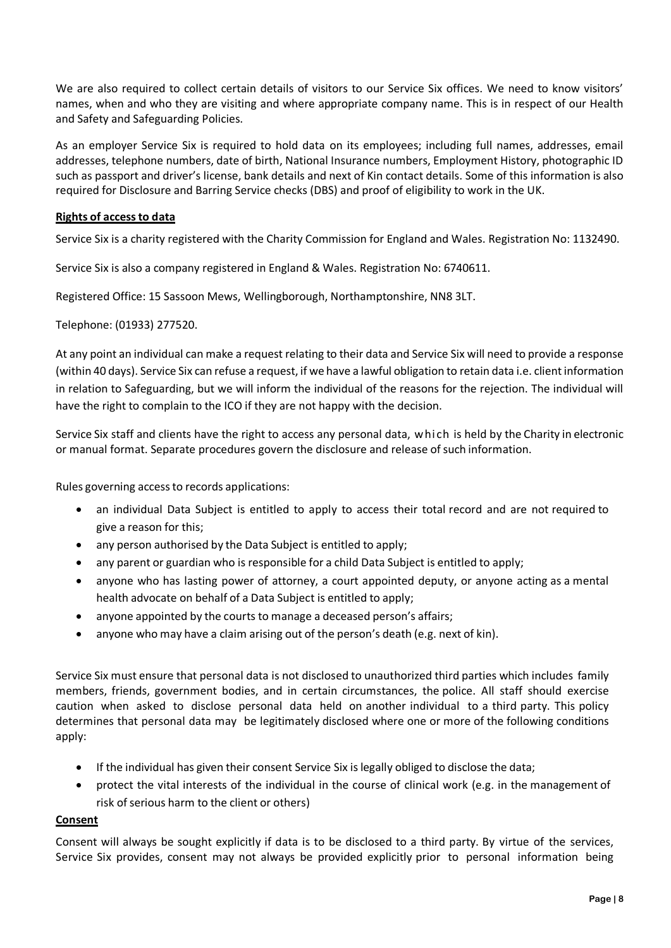We are also required to collect certain details of visitors to our Service Six offices. We need to know visitors' names, when and who they are visiting and where appropriate company name. This is in respect of our Health and Safety and Safeguarding Policies.

As an employer Service Six is required to hold data on its employees; including full names, addresses, email addresses, telephone numbers, date of birth, National Insurance numbers, Employment History, photographic ID such as passport and driver's license, bank details and next of Kin contact details. Some of this information is also required for Disclosure and Barring Service checks (DBS) and proof of eligibility to work in the UK.

## **Rights of accessto data**

Service Six is a charity registered with the Charity Commission for England and Wales. Registration No: 1132490.

Service Six is also a company registered in England & Wales. Registration No: 6740611.

Registered Office: 15 Sassoon Mews, Wellingborough, Northamptonshire, NN8 3LT.

Telephone: (01933) 277520.

At any point an individual can make a request relating to their data and Service Six will need to provide a response (within 40 days). Service Six can refuse a request, if we have a lawful obligation to retain data i.e. client information in relation to Safeguarding, but we will inform the individual of the reasons for the rejection. The individual will have the right to complain to the ICO if they are not happy with the decision.

Service Six staff and clients have the right to access any personal data, which is held by the Charity in electronic or manual format. Separate procedures govern the disclosure and release ofsuch information.

Rules governing access to records applications:

- an individual Data Subject is entitled to apply to access their total record and are not required to give a reason for this;
- any person authorised by the Data Subject is entitled to apply;
- any parent or guardian who is responsible for a child Data Subject is entitled to apply;
- anyone who has lasting power of attorney, a court appointed deputy, or anyone acting as a mental health advocate on behalf of a Data Subject is entitled to apply;
- anyone appointed by the courts to manage a deceased person's affairs;
- anyone who may have a claim arising out of the person's death (e.g. next of kin).

Service Six must ensure that personal data is not disclosed to unauthorized third parties which includes family members, friends, government bodies, and in certain circumstances, the police. All staff should exercise caution when asked to disclose personal data held on another individual to a third party. This policy determines that personal data may be legitimately disclosed where one or more of the following conditions apply:

- If the individual has given their consent Service Six is legally obliged to disclose the data;
- protect the vital interests of the individual in the course of clinical work (e.g. in the management of risk of serious harm to the client or others)

## **Consent**

Consent will always be sought explicitly if data is to be disclosed to a third party. By virtue of the services, Service Six provides, consent may not always be provided explicitly prior to personal information being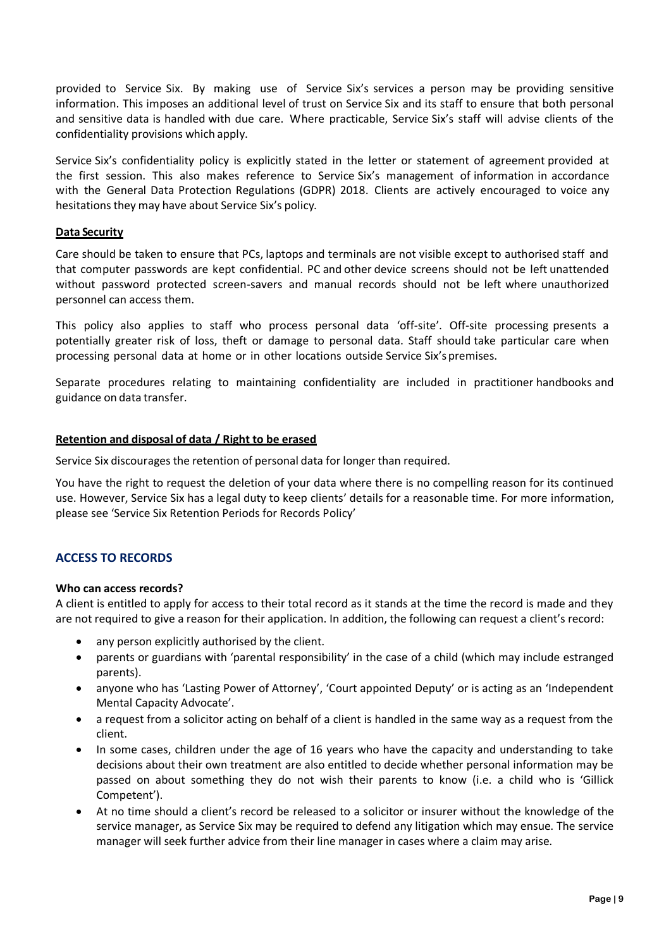provided to Service Six. By making use of Service Six's services a person may be providing sensitive information. This imposes an additional level of trust on Service Six and its staff to ensure that both personal and sensitive data is handled with due care. Where practicable, Service Six's staff will advise clients of the confidentiality provisions which apply.

Service Six's confidentiality policy is explicitly stated in the letter or statement of agreement provided at the first session. This also makes reference to Service Six's management of information in accordance with the General Data Protection Regulations (GDPR) 2018. Clients are actively encouraged to voice any hesitations they may have about Service Six's policy.

#### **Data Security**

Care should be taken to ensure that PCs, laptops and terminals are not visible except to authorised staff and that computer passwords are kept confidential. PC and other device screens should not be left unattended without password protected screen-savers and manual records should not be left where unauthorized personnel can access them.

This policy also applies to staff who process personal data 'off-site'. Off-site processing presents a potentially greater risk of loss, theft or damage to personal data. Staff should take particular care when processing personal data at home or in other locations outside Service Six'spremises.

Separate procedures relating to maintaining confidentiality are included in practitioner handbooks and guidance on data transfer.

#### **Retention and disposal of data / Right to be erased**

Service Six discourages the retention of personal data for longer than required.

You have the right to request the deletion of your data where there is no compelling reason for its continued use. However, Service Six has a legal duty to keep clients' details for a reasonable time. For more information, please see 'Service Six Retention Periods for Records Policy'

## **ACCESS TO RECORDS**

#### **Who can access records?**

A client is entitled to apply for access to their total record as it stands at the time the record is made and they are not required to give a reason for their application. In addition, the following can request a client's record:

- any person explicitly authorised by the client.
- parents or guardians with 'parental responsibility' in the case of a child (which may include estranged parents).
- anyone who has 'Lasting Power of Attorney', 'Court appointed Deputy' or is acting as an 'Independent Mental Capacity Advocate'.
- a request from a solicitor acting on behalf of a client is handled in the same way as a request from the client.
- In some cases, children under the age of 16 years who have the capacity and understanding to take decisions about their own treatment are also entitled to decide whether personal information may be passed on about something they do not wish their parents to know (i.e. a child who is 'Gillick Competent').
- At no time should a client's record be released to a solicitor or insurer without the knowledge of the service manager, as Service Six may be required to defend any litigation which may ensue. The service manager will seek further advice from their line manager in cases where a claim may arise.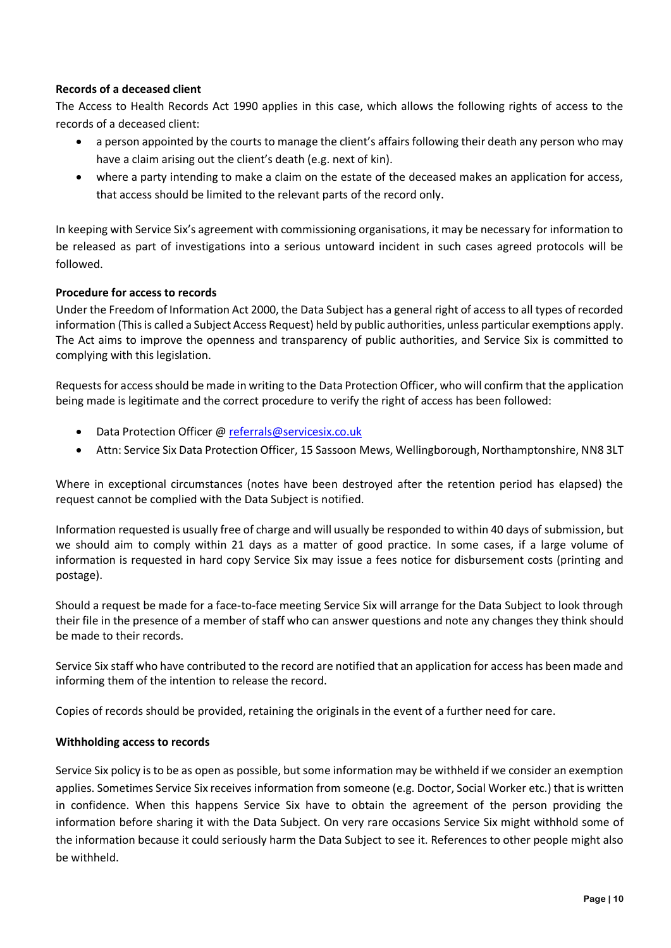## **Records of a deceased client**

The Access to Health Records Act 1990 applies in this case, which allows the following rights of access to the records of a deceased client:

- a person appointed by the courts to manage the client's affairs following their death any person who may have a claim arising out the client's death (e.g. next of kin).
- where a party intending to make a claim on the estate of the deceased makes an application for access, that access should be limited to the relevant parts of the record only.

In keeping with Service Six's agreement with commissioning organisations, it may be necessary for information to be released as part of investigations into a serious untoward incident in such cases agreed protocols will be followed.

## **Procedure for access to records**

Under the Freedom of Information Act 2000, the Data Subject has a general right of access to all types of recorded information (This is called a Subject Access Request) held by public authorities, unless particular exemptions apply. The Act aims to improve the openness and transparency of public authorities, and Service Six is committed to complying with this legislation.

Requests for access should be made in writing to the Data Protection Officer, who will confirm that the application being made is legitimate and the correct procedure to verify the right of access has been followed:

- Data Protection Officer @ [referrals@servicesix.co.uk](mailto:referrals@servicesix.co.uk)
- Attn: Service Six Data Protection Officer, 15 Sassoon Mews, Wellingborough, Northamptonshire, NN8 3LT

Where in exceptional circumstances (notes have been destroyed after the retention period has elapsed) the request cannot be complied with the Data Subject is notified.

Information requested is usually free of charge and will usually be responded to within 40 days of submission, but we should aim to comply within 21 days as a matter of good practice. In some cases, if a large volume of information is requested in hard copy Service Six may issue a fees notice for disbursement costs (printing and postage).

Should a request be made for a face-to-face meeting Service Six will arrange for the Data Subject to look through their file in the presence of a member of staff who can answer questions and note any changes they think should be made to their records.

Service Six staff who have contributed to the record are notified that an application for access has been made and informing them of the intention to release the record.

Copies of records should be provided, retaining the originals in the event of a further need for care.

## **Withholding access to records**

Service Six policy is to be as open as possible, but some information may be withheld if we consider an exemption applies. Sometimes Service Six receives information from someone (e.g. Doctor, Social Worker etc.) that is written in confidence. When this happens Service Six have to obtain the agreement of the person providing the information before sharing it with the Data Subject. On very rare occasions Service Six might withhold some of the information because it could seriously harm the Data Subject to see it. References to other people might also be withheld.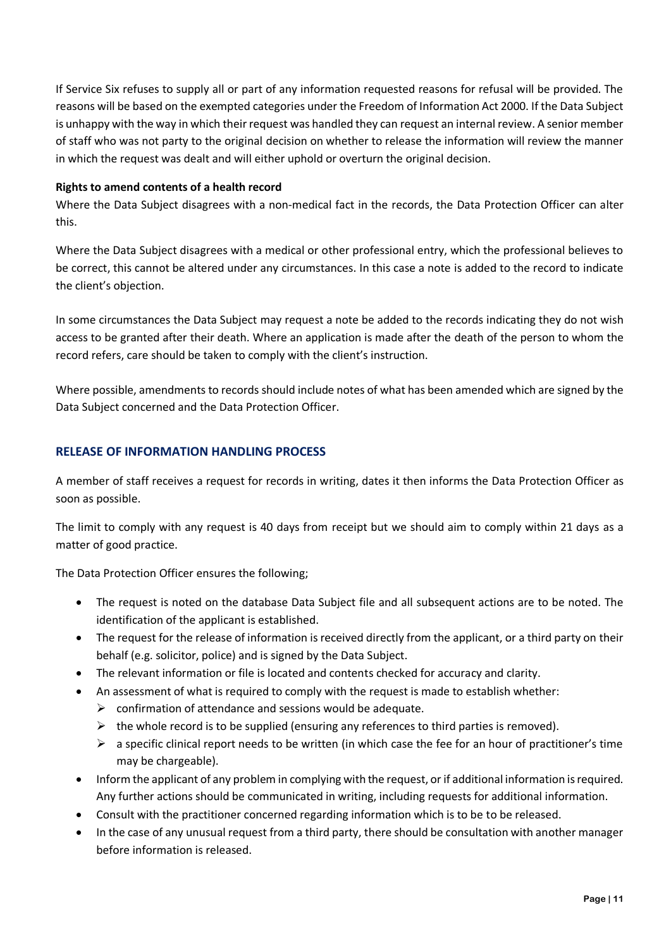If Service Six refuses to supply all or part of any information requested reasons for refusal will be provided. The reasons will be based on the exempted categories under the Freedom of Information Act 2000. If the Data Subject is unhappy with the way in which their request was handled they can request an internal review. A senior member of staff who was not party to the original decision on whether to release the information will review the manner in which the request was dealt and will either uphold or overturn the original decision.

## **Rights to amend contents of a health record**

Where the Data Subject disagrees with a non-medical fact in the records, the Data Protection Officer can alter this.

Where the Data Subject disagrees with a medical or other professional entry, which the professional believes to be correct, this cannot be altered under any circumstances. In this case a note is added to the record to indicate the client's objection.

In some circumstances the Data Subject may request a note be added to the records indicating they do not wish access to be granted after their death. Where an application is made after the death of the person to whom the record refers, care should be taken to comply with the client's instruction.

Where possible, amendments to records should include notes of what has been amended which are signed by the Data Subject concerned and the Data Protection Officer.

## **RELEASE OF INFORMATION HANDLING PROCESS**

A member of staff receives a request for records in writing, dates it then informs the Data Protection Officer as soon as possible.

The limit to comply with any request is 40 days from receipt but we should aim to comply within 21 days as a matter of good practice.

The Data Protection Officer ensures the following;

- The request is noted on the database Data Subject file and all subsequent actions are to be noted. The identification of the applicant is established.
- The request for the release of information is received directly from the applicant, or a third party on their behalf (e.g. solicitor, police) and is signed by the Data Subject.
- The relevant information or file is located and contents checked for accuracy and clarity.
- An assessment of what is required to comply with the request is made to establish whether:
	- $\triangleright$  confirmation of attendance and sessions would be adequate.
	- $\triangleright$  the whole record is to be supplied (ensuring any references to third parties is removed).
	- $\triangleright$  a specific clinical report needs to be written (in which case the fee for an hour of practitioner's time may be chargeable).
- Inform the applicant of any problem in complying with the request, or if additional information is required. Any further actions should be communicated in writing, including requests for additional information.
- Consult with the practitioner concerned regarding information which is to be to be released.
- In the case of any unusual request from a third party, there should be consultation with another manager before information is released.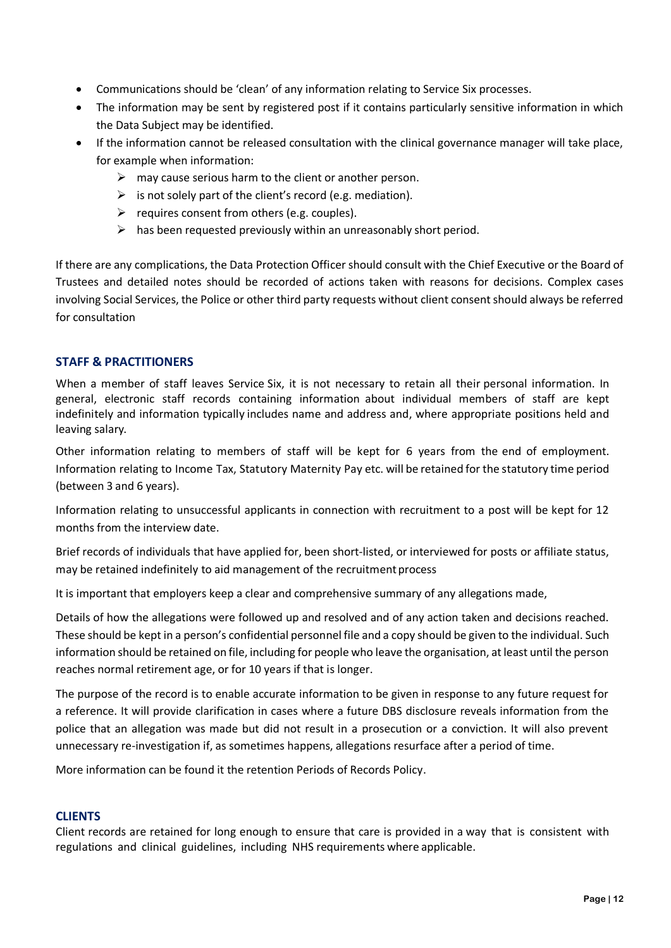- Communications should be 'clean' of any information relating to Service Six processes.
- The information may be sent by registered post if it contains particularly sensitive information in which the Data Subject may be identified.
- If the information cannot be released consultation with the clinical governance manager will take place, for example when information:
	- $\triangleright$  may cause serious harm to the client or another person.
	- $\triangleright$  is not solely part of the client's record (e.g. mediation).
	- $\triangleright$  requires consent from others (e.g. couples).
	- $\triangleright$  has been requested previously within an unreasonably short period.

If there are any complications, the Data Protection Officer should consult with the Chief Executive or the Board of Trustees and detailed notes should be recorded of actions taken with reasons for decisions. Complex cases involving Social Services, the Police or other third party requests without client consent should always be referred for consultation

## **STAFF & PRACTITIONERS**

When a member of staff leaves Service Six, it is not necessary to retain all their personal information. In general, electronic staff records containing information about individual members of staff are kept indefinitely and information typically includes name and address and, where appropriate positions held and leaving salary.

Other information relating to members of staff will be kept for 6 years from the end of employment. Information relating to Income Tax, Statutory Maternity Pay etc. will be retained for the statutory time period (between 3 and 6 years).

Information relating to unsuccessful applicants in connection with recruitment to a post will be kept for 12 months from the interview date.

Brief records of individuals that have applied for, been short-listed, or interviewed for posts or affiliate status, may be retained indefinitely to aid management of the recruitment process

It is important that employers keep a clear and comprehensive summary of any allegations made,

Details of how the allegations were followed up and resolved and of any action taken and decisions reached. These should be kept in a person's confidential personnel file and a copy should be given to the individual. Such information should be retained on file, including for people who leave the organisation, at least until the person reaches normal retirement age, or for 10 years if that is longer.

The purpose of the record is to enable accurate information to be given in response to any future request for a reference. It will provide clarification in cases where a future DBS disclosure reveals information from the police that an allegation was made but did not result in a prosecution or a conviction. It will also prevent unnecessary re-investigation if, as sometimes happens, allegations resurface after a period of time.

More information can be found it the retention Periods of Records Policy.

## **CLIENTS**

Client records are retained for long enough to ensure that care is provided in a way that is consistent with regulations and clinical guidelines, including NHS requirements where applicable.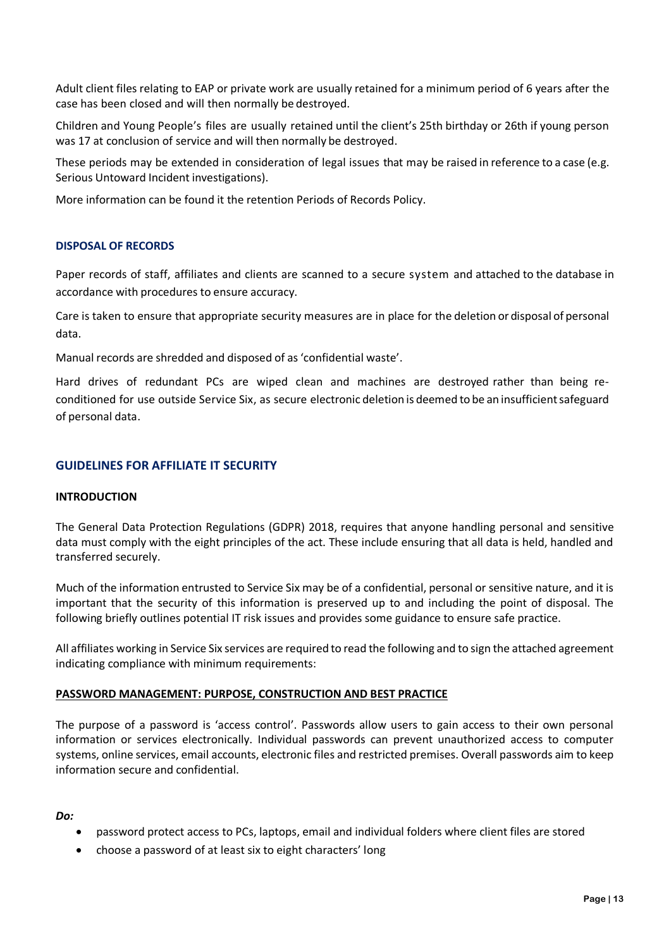Adult client files relating to EAP or private work are usually retained for a minimum period of 6 years after the case has been closed and will then normally be destroyed.

Children and Young People's files are usually retained until the client's 25th birthday or 26th if young person was 17 at conclusion of service and will then normally be destroyed.

These periods may be extended in consideration of legal issues that may be raised in reference to a case (e.g. Serious Untoward Incident investigations).

More information can be found it the retention Periods of Records Policy.

## **DISPOSAL OF RECORDS**

Paper records of staff, affiliates and clients are scanned to a secure system and attached to the database in accordance with procedures to ensure accuracy.

Care is taken to ensure that appropriate security measures are in place for the deletion or disposal of personal data.

Manual records are shredded and disposed of as 'confidential waste'.

Hard drives of redundant PCs are wiped clean and machines are destroyed rather than being reconditioned for use outside Service Six, as secure electronic deletion is deemed to be an insufficientsafeguard of personal data.

## **GUIDELINES FOR AFFILIATE IT SECURITY**

#### **INTRODUCTION**

The General Data Protection Regulations (GDPR) 2018, requires that anyone handling personal and sensitive data must comply with the eight principles of the act. These include ensuring that all data is held, handled and transferred securely.

Much of the information entrusted to Service Six may be of a confidential, personal or sensitive nature, and it is important that the security of this information is preserved up to and including the point of disposal. The following briefly outlines potential IT risk issues and provides some guidance to ensure safe practice.

All affiliates working in Service Six services are required to read the following and to sign the attached agreement indicating compliance with minimum requirements:

#### **PASSWORD MANAGEMENT: PURPOSE, CONSTRUCTION AND BEST PRACTICE**

The purpose of a password is 'access control'. Passwords allow users to gain access to their own personal information or services electronically. Individual passwords can prevent unauthorized access to computer systems, online services, email accounts, electronic files and restricted premises. Overall passwords aim to keep information secure and confidential.

#### *Do:*

- password protect access to PCs, laptops, email and individual folders where client files are stored
- choose a password of at least six to eight characters' long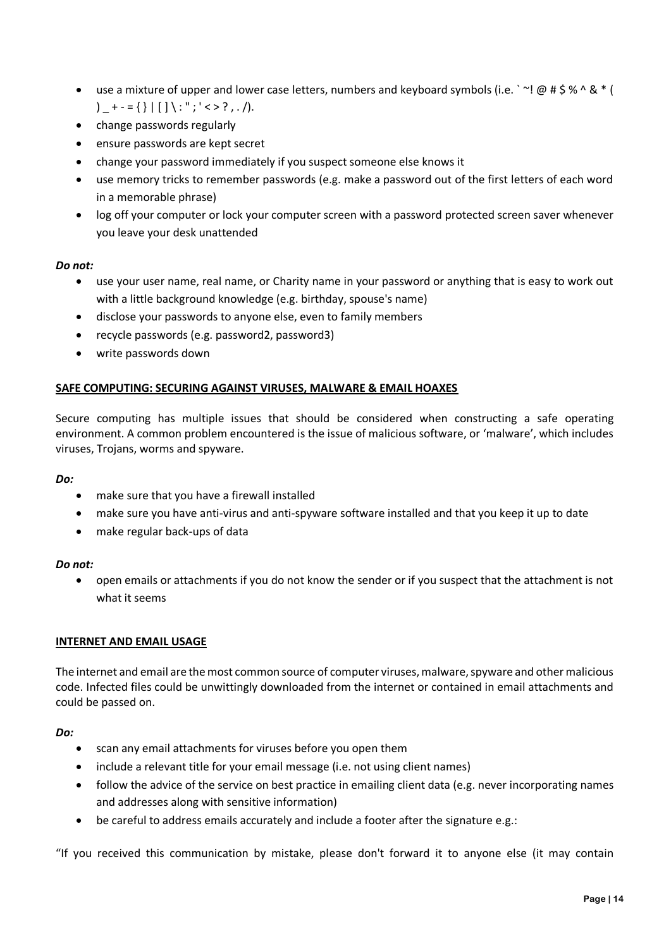- use a mixture of upper and lower case letters, numbers and keyboard symbols (i.e.  $\cdot \sim ! \text{ @ } \# \text{ $}\% \wedge \text{ $}\&\*$  ( )  $_{+}$  + - = { } | [ ] \ : " ; ' < > ? , . /).
- change passwords regularly
- ensure passwords are kept secret
- change your password immediately if you suspect someone else knows it
- use memory tricks to remember passwords (e.g. make a password out of the first letters of each word in a memorable phrase)
- log off your computer or lock your computer screen with a password protected screen saver whenever you leave your desk unattended

## *Do not:*

- use your user name, real name, or Charity name in your password or anything that is easy to work out with a little background knowledge (e.g. birthday, spouse's name)
- disclose your passwords to anyone else, even to family members
- recycle passwords (e.g. password2, password3)
- write passwords down

## **SAFE COMPUTING: SECURING AGAINST VIRUSES, MALWARE & EMAIL HOAXES**

Secure computing has multiple issues that should be considered when constructing a safe operating environment. A common problem encountered is the issue of malicious software, or 'malware', which includes viruses, Trojans, worms and spyware.

## *Do:*

- make sure that you have a firewall installed
- make sure you have anti-virus and anti-spyware software installed and that you keep it up to date
- make regular back-ups of data

## *Do not:*

 open emails or attachments if you do not know the sender or if you suspect that the attachment is not what it seems

## **INTERNET AND EMAIL USAGE**

The internet and email are the most common source of computer viruses, malware, spyware and other malicious code. Infected files could be unwittingly downloaded from the internet or contained in email attachments and could be passed on.

## *Do:*

- scan any email attachments for viruses before you open them
- include a relevant title for your email message (i.e. not using client names)
- follow the advice of the service on best practice in emailing client data (e.g. never incorporating names and addresses along with sensitive information)
- be careful to address emails accurately and include a footer after the signature e.g.:

"If you received this communication by mistake, please don't forward it to anyone else (it may contain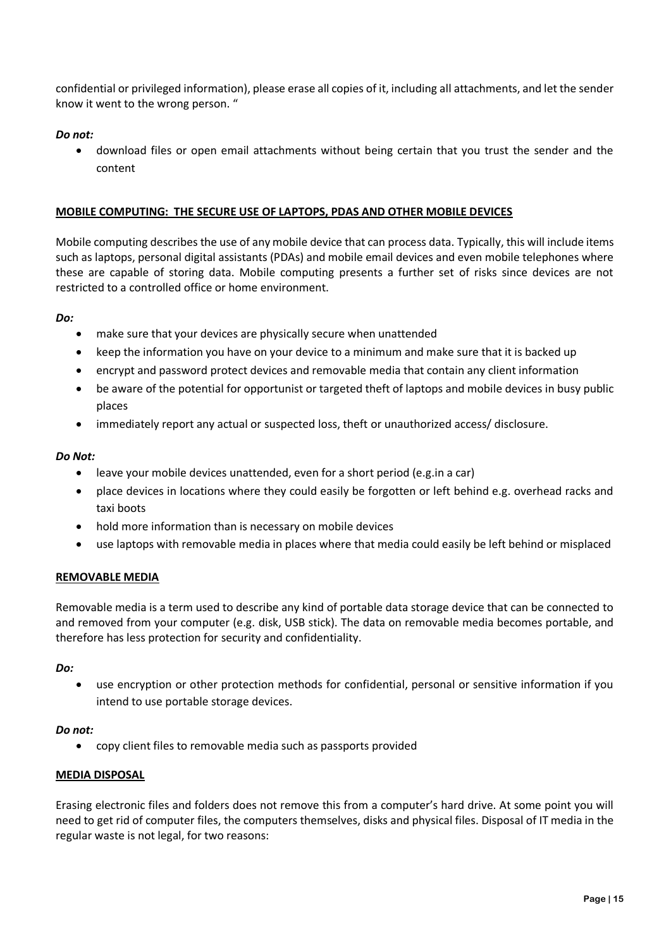confidential or privileged information), please erase all copies of it, including all attachments, and let the sender know it went to the wrong person. "

## *Do not:*

 download files or open email attachments without being certain that you trust the sender and the content

## **MOBILE COMPUTING: THE SECURE USE OF LAPTOPS, PDAS AND OTHER MOBILE DEVICES**

Mobile computing describes the use of any mobile device that can process data. Typically, this will include items such as laptops, personal digital assistants (PDAs) and mobile email devices and even mobile telephones where these are capable of storing data. Mobile computing presents a further set of risks since devices are not restricted to a controlled office or home environment.

## *Do:*

- make sure that your devices are physically secure when unattended
- keep the information you have on your device to a minimum and make sure that it is backed up
- encrypt and password protect devices and removable media that contain any client information
- be aware of the potential for opportunist or targeted theft of laptops and mobile devices in busy public places
- immediately report any actual or suspected loss, theft or unauthorized access/ disclosure.

## *Do Not:*

- leave your mobile devices unattended, even for a short period (e.g.in a car)
- place devices in locations where they could easily be forgotten or left behind e.g. overhead racks and taxi boots
- hold more information than is necessary on mobile devices
- use laptops with removable media in places where that media could easily be left behind or misplaced

## **REMOVABLE MEDIA**

Removable media is a term used to describe any kind of portable data storage device that can be connected to and removed from your computer (e.g. disk, USB stick). The data on removable media becomes portable, and therefore has less protection for security and confidentiality.

## *Do:*

 use encryption or other protection methods for confidential, personal or sensitive information if you intend to use portable storage devices.

## *Do not:*

copy client files to removable media such as passports provided

## **MEDIA DISPOSAL**

Erasing electronic files and folders does not remove this from a computer's hard drive. At some point you will need to get rid of computer files, the computers themselves, disks and physical files. Disposal of IT media in the regular waste is not legal, for two reasons: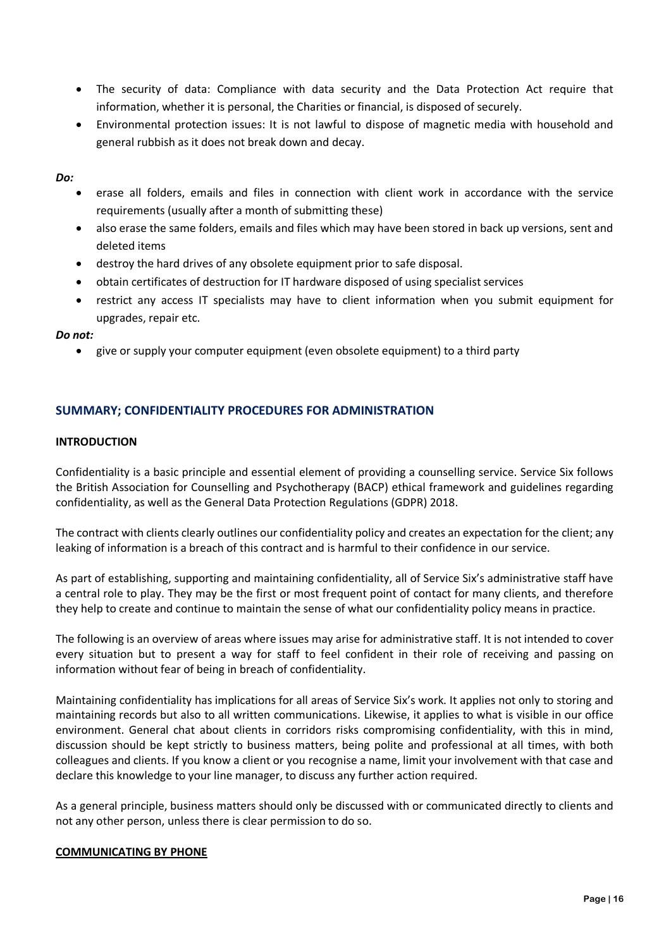- The security of data: Compliance with data security and the Data Protection Act require that information, whether it is personal, the Charities or financial, is disposed of securely.
- Environmental protection issues: It is not lawful to dispose of magnetic media with household and general rubbish as it does not break down and decay.

#### *Do:*

- erase all folders, emails and files in connection with client work in accordance with the service requirements (usually after a month of submitting these)
- also erase the same folders, emails and files which may have been stored in back up versions, sent and deleted items
- destroy the hard drives of any obsolete equipment prior to safe disposal.
- obtain certificates of destruction for IT hardware disposed of using specialist services
- restrict any access IT specialists may have to client information when you submit equipment for upgrades, repair etc.

## *Do not:*

give or supply your computer equipment (even obsolete equipment) to a third party

## **SUMMARY; CONFIDENTIALITY PROCEDURES FOR ADMINISTRATION**

## **INTRODUCTION**

Confidentiality is a basic principle and essential element of providing a counselling service. Service Six follows the British Association for Counselling and Psychotherapy (BACP) ethical framework and guidelines regarding confidentiality, as well as the General Data Protection Regulations (GDPR) 2018.

The contract with clients clearly outlines our confidentiality policy and creates an expectation for the client; any leaking of information is a breach of this contract and is harmful to their confidence in our service.

As part of establishing, supporting and maintaining confidentiality, all of Service Six's administrative staff have a central role to play. They may be the first or most frequent point of contact for many clients, and therefore they help to create and continue to maintain the sense of what our confidentiality policy means in practice.

The following is an overview of areas where issues may arise for administrative staff. It is not intended to cover every situation but to present a way for staff to feel confident in their role of receiving and passing on information without fear of being in breach of confidentiality.

Maintaining confidentiality has implications for all areas of Service Six's work. It applies not only to storing and maintaining records but also to all written communications. Likewise, it applies to what is visible in our office environment. General chat about clients in corridors risks compromising confidentiality, with this in mind, discussion should be kept strictly to business matters, being polite and professional at all times, with both colleagues and clients. If you know a client or you recognise a name, limit your involvement with that case and declare this knowledge to your line manager, to discuss any further action required.

As a general principle, business matters should only be discussed with or communicated directly to clients and not any other person, unless there is clear permission to do so.

## **COMMUNICATING BY PHONE**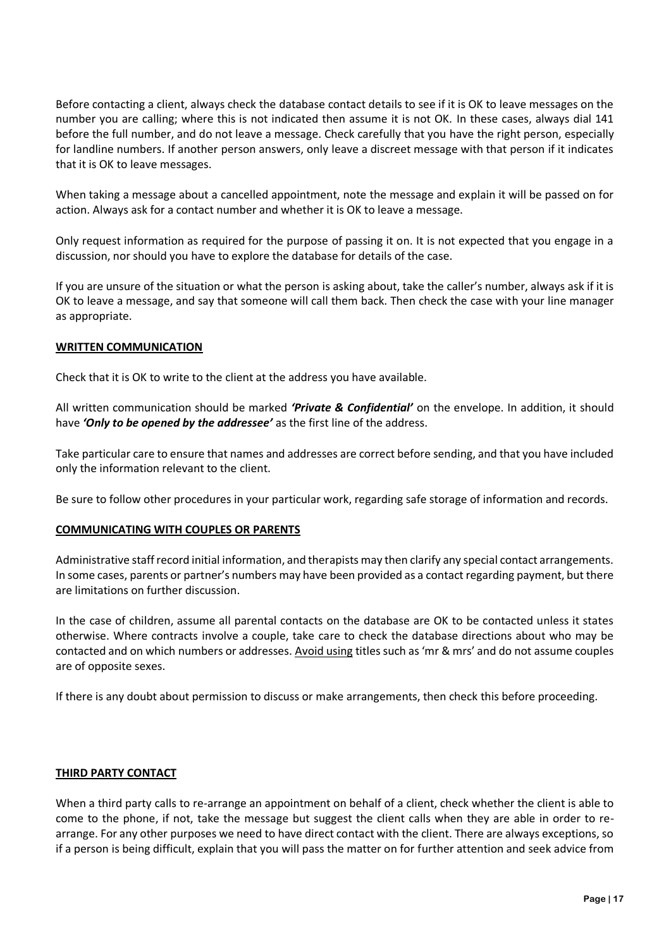Before contacting a client, always check the database contact details to see if it is OK to leave messages on the number you are calling; where this is not indicated then assume it is not OK. In these cases, always dial 141 before the full number, and do not leave a message. Check carefully that you have the right person, especially for landline numbers. If another person answers, only leave a discreet message with that person if it indicates that it is OK to leave messages.

When taking a message about a cancelled appointment, note the message and explain it will be passed on for action. Always ask for a contact number and whether it is OK to leave a message.

Only request information as required for the purpose of passing it on. It is not expected that you engage in a discussion, nor should you have to explore the database for details of the case.

If you are unsure of the situation or what the person is asking about, take the caller's number, always ask if it is OK to leave a message, and say that someone will call them back. Then check the case with your line manager as appropriate.

## **WRITTEN COMMUNICATION**

Check that it is OK to write to the client at the address you have available.

All written communication should be marked *'Private & Confidential'* on the envelope. In addition, it should have *'Only to be opened by the addressee'* as the first line of the address.

Take particular care to ensure that names and addresses are correct before sending, and that you have included only the information relevant to the client.

Be sure to follow other procedures in your particular work, regarding safe storage of information and records.

## **COMMUNICATING WITH COUPLES OR PARENTS**

Administrative staff record initial information, and therapists may then clarify any special contact arrangements. In some cases, parents or partner's numbers may have been provided as a contact regarding payment, but there are limitations on further discussion.

In the case of children, assume all parental contacts on the database are OK to be contacted unless it states otherwise. Where contracts involve a couple, take care to check the database directions about who may be contacted and on which numbers or addresses. Avoid using titles such as 'mr & mrs' and do not assume couples are of opposite sexes.

If there is any doubt about permission to discuss or make arrangements, then check this before proceeding.

## **THIRD PARTY CONTACT**

When a third party calls to re-arrange an appointment on behalf of a client, check whether the client is able to come to the phone, if not, take the message but suggest the client calls when they are able in order to rearrange. For any other purposes we need to have direct contact with the client. There are always exceptions, so if a person is being difficult, explain that you will pass the matter on for further attention and seek advice from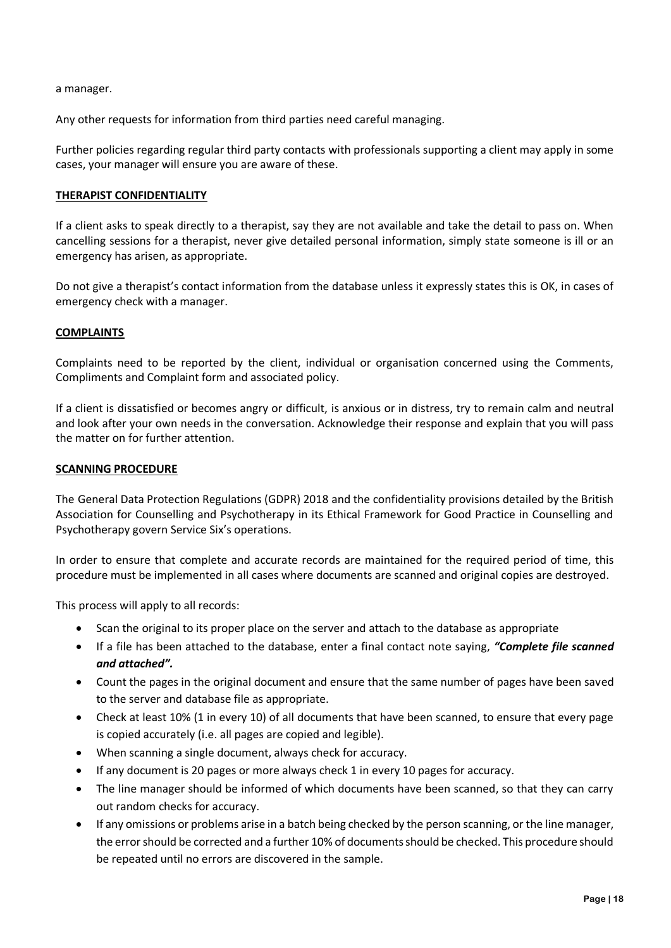a manager.

Any other requests for information from third parties need careful managing.

Further policies regarding regular third party contacts with professionals supporting a client may apply in some cases, your manager will ensure you are aware of these.

## **THERAPIST CONFIDENTIALITY**

If a client asks to speak directly to a therapist, say they are not available and take the detail to pass on. When cancelling sessions for a therapist, never give detailed personal information, simply state someone is ill or an emergency has arisen, as appropriate.

Do not give a therapist's contact information from the database unless it expressly states this is OK, in cases of emergency check with a manager.

## **COMPLAINTS**

Complaints need to be reported by the client, individual or organisation concerned using the Comments, Compliments and Complaint form and associated policy.

If a client is dissatisfied or becomes angry or difficult, is anxious or in distress, try to remain calm and neutral and look after your own needs in the conversation. Acknowledge their response and explain that you will pass the matter on for further attention.

## **SCANNING PROCEDURE**

The General Data Protection Regulations (GDPR) 2018 and the confidentiality provisions detailed by the British Association for Counselling and Psychotherapy in its Ethical Framework for Good Practice in Counselling and Psychotherapy govern Service Six's operations.

In order to ensure that complete and accurate records are maintained for the required period of time, this procedure must be implemented in all cases where documents are scanned and original copies are destroyed.

This process will apply to all records:

- Scan the original to its proper place on the server and attach to the database as appropriate
- If a file has been attached to the database, enter a final contact note saying, *"Complete file scanned and attached".*
- Count the pages in the original document and ensure that the same number of pages have been saved to the server and database file as appropriate.
- Check at least 10% (1 in every 10) of all documents that have been scanned, to ensure that every page is copied accurately (i.e. all pages are copied and legible).
- When scanning a single document, always check for accuracy.
- If any document is 20 pages or more always check 1 in every 10 pages for accuracy.
- The line manager should be informed of which documents have been scanned, so that they can carry out random checks for accuracy.
- If any omissions or problems arise in a batch being checked by the person scanning, or the line manager, the error should be corrected and a further 10% of documents should be checked. This procedure should be repeated until no errors are discovered in the sample.